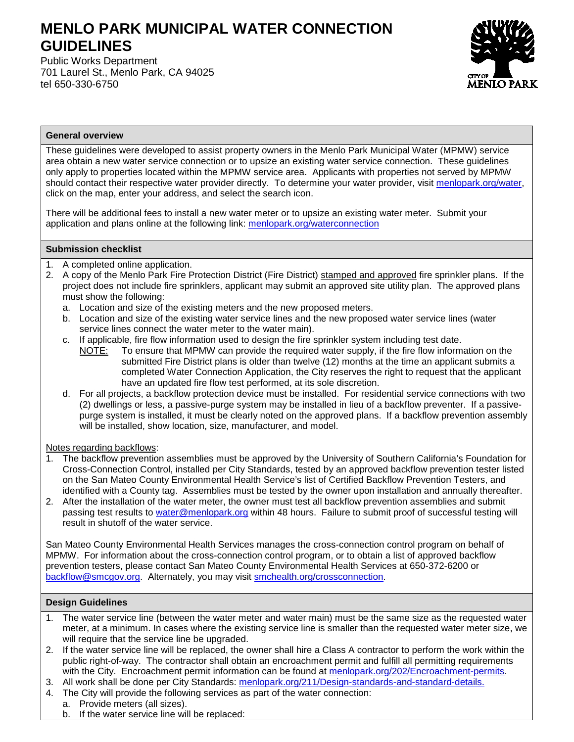# **MENLO PARK MUNICIPAL WATER CONNECTION GUIDELINES**

Public Works Department 701 Laurel St., Menlo Park, CA 94025 tel 650-330-6750



### **General overview**

These guidelines were developed to assist property owners in the Menlo Park Municipal Water (MPMW) service area obtain a new water service connection or to upsize an existing water service connection. These guidelines only apply to properties located within the MPMW service area. Applicants with properties not served by MPMW should contact their respective water provider directly. To determine your water provider, visit [menlopark.org/water,](http://www.menlopark.org/water) click on the map, enter your address, and select the search icon.

There will be additional fees to install a new water meter or to upsize an existing water meter. Submit your application and plans online at the following link: [menlopark.org/waterconnection](https://www.menlopark.org/FormCenter/Public-Works-7/Water-Connection-Application-212)

## **Submission checklist**

- 1. A completed online application.
- 2. A copy of the Menlo Park Fire Protection District (Fire District) stamped and approved fire sprinkler plans. If the project does not include fire sprinklers, applicant may submit an approved site utility plan. The approved plans must show the following:
	- a. Location and size of the existing meters and the new proposed meters.
	- b. Location and size of the existing water service lines and the new proposed water service lines (water service lines connect the water meter to the water main).
	- c. If applicable, fire flow information used to design the fire sprinkler system including test date.
		- NOTE: To ensure that MPMW can provide the required water supply, if the fire flow information on the submitted Fire District plans is older than twelve (12) months at the time an applicant submits a completed Water Connection Application, the City reserves the right to request that the applicant have an updated fire flow test performed, at its sole discretion.
	- d. For all projects, a backflow protection device must be installed. For residential service connections with two (2) dwellings or less, a passive-purge system may be installed in lieu of a backflow preventer. If a passivepurge system is installed, it must be clearly noted on the approved plans. If a backflow prevention assembly will be installed, show location, size, manufacturer, and model.

#### Notes regarding backflows:

- 1. The backflow prevention assemblies must be approved by the University of Southern California's Foundation for Cross-Connection Control, installed per City Standards, tested by an approved backflow prevention tester listed on the San Mateo County Environmental Health Service's list of Certified Backflow Prevention Testers, and identified with a County tag. Assemblies must be tested by the owner upon installation and annually thereafter.
- 2. After the installation of the water meter, the owner must test all backflow prevention assemblies and submit passing test results to water@menlopark.org within 48 hours. Failure to submit proof of successful testing will result in shutoff of the water service.

San Mateo County Environmental Health Services manages the cross-connection control program on behalf of MPMW. For information about the cross-connection control program, or to obtain a list of approved backflow prevention testers, please contact San Mateo County Environmental Health Services at 650-372-6200 or [backflow@smcgov.org.](mailto:backflow@smcgov.org) Alternately, you may visit [smchealth.org/crossconnection.](http://www.smchealth.org/crossconnection)

#### **Design Guidelines**

- 1. The water service line (between the water meter and water main) must be the same size as the requested water meter, at a minimum. In cases where the existing service line is smaller than the requested water meter size, we will require that the service line be upgraded.
- 2. If the water service line will be replaced, the owner shall hire a Class A contractor to perform the work within the public right-of-way. The contractor shall obtain an encroachment permit and fulfill all permitting requirements with the City. Encroachment permit information can be found at [menlopark.org/202/Encroachment-permits.](https://www.menlopark.org/202/Encroachment-permits)
- 3. All work shall be done per City Standards: [menlopark.org/211/Design-standards-and-standard-details.](https://www.menlopark.org/211/Design-standards-and-standard-details)
- 4. The City will provide the following services as part of the water connection:
	- a. Provide meters (all sizes).
		- b. If the water service line will be replaced: